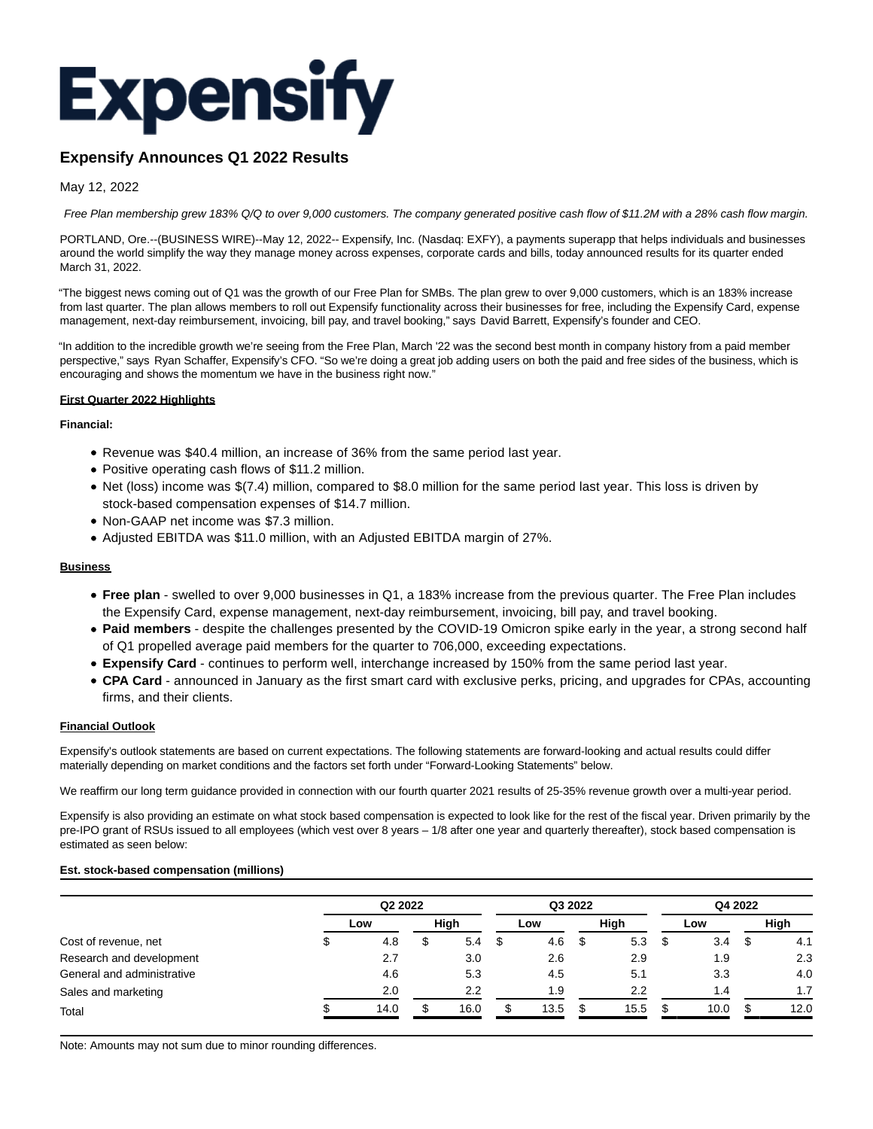

# **Expensify Announces Q1 2022 Results**

May 12, 2022

Free Plan membership grew 183% Q/Q to over 9,000 customers. The company generated positive cash flow of \$11.2M with a 28% cash flow margin.

PORTLAND, Ore.--(BUSINESS WIRE)--May 12, 2022-- Expensify, Inc. (Nasdaq: EXFY), a payments superapp that helps individuals and businesses around the world simplify the way they manage money across expenses, corporate cards and bills, today announced results for its quarter ended March 31, 2022.

"The biggest news coming out of Q1 was the growth of our Free Plan for SMBs. The plan grew to over 9,000 customers, which is an 183% increase from last quarter. The plan allows members to roll out Expensify functionality across their businesses for free, including the Expensify Card, expense management, next-day reimbursement, invoicing, bill pay, and travel booking," says David Barrett, Expensify's founder and CEO.

"In addition to the incredible growth we're seeing from the Free Plan, March '22 was the second best month in company history from a paid member perspective," says Ryan Schaffer, Expensify's CFO. "So we're doing a great job adding users on both the paid and free sides of the business, which is encouraging and shows the momentum we have in the business right now."

### **First Quarter 2022 Highlights**

### **Financial:**

- Revenue was \$40.4 million, an increase of 36% from the same period last year.
- Positive operating cash flows of \$11.2 million.
- Net (loss) income was \$(7.4) million, compared to \$8.0 million for the same period last year. This loss is driven by stock-based compensation expenses of \$14.7 million.
- Non-GAAP net income was \$7.3 million.
- Adjusted EBITDA was \$11.0 million, with an Adjusted EBITDA margin of 27%.

### **Business**

- **Free plan** swelled to over 9,000 businesses in Q1, a 183% increase from the previous quarter. The Free Plan includes the Expensify Card, expense management, next-day reimbursement, invoicing, bill pay, and travel booking.
- **Paid members** despite the challenges presented by the COVID-19 Omicron spike early in the year, a strong second half of Q1 propelled average paid members for the quarter to 706,000, exceeding expectations.
- **Expensify Card** continues to perform well, interchange increased by 150% from the same period last year.
- **CPA Card** announced in January as the first smart card with exclusive perks, pricing, and upgrades for CPAs, accounting firms, and their clients.

### **Financial Outlook**

Expensify's outlook statements are based on current expectations. The following statements are forward-looking and actual results could differ materially depending on market conditions and the factors set forth under "Forward-Looking Statements" below.

We reaffirm our long term guidance provided in connection with our fourth quarter 2021 results of 25-35% revenue growth over a multi-year period.

Expensify is also providing an estimate on what stock based compensation is expected to look like for the rest of the fiscal year. Driven primarily by the pre-IPO grant of RSUs issued to all employees (which vest over 8 years – 1/8 after one year and quarterly thereafter), stock based compensation is estimated as seen below:

### **Est. stock-based compensation (millions)**

|                            |   | Q2 2022 |    |      |           | Q3 2022 |      |      | Q4 2022 |           |
|----------------------------|---|---------|----|------|-----------|---------|------|------|---------|-----------|
|                            |   | Low     |    | High | Low       |         | High |      | Low     | High      |
| Cost of revenue, net       | Φ | 4.8     | \$ | 5.4  | \$<br>4.6 | \$      | 5.3  | - \$ | 3.4     | \$<br>4.1 |
| Research and development   |   | 2.7     |    | 3.0  | 2.6       |         | 2.9  |      | 1.9     | 2.3       |
| General and administrative |   | 4.6     |    | 5.3  | 4.5       |         | 5.1  |      | 3.3     | 4.0       |
| Sales and marketing        |   | 2.0     |    | 2.2  | 1.9       |         | 2.2  |      | 1.4     | 1.7       |
| Total                      |   | 14.0    | S  | 16.0 | 13.5      |         | 15.5 |      | 10.0    | 12.0      |

Note: Amounts may not sum due to minor rounding differences.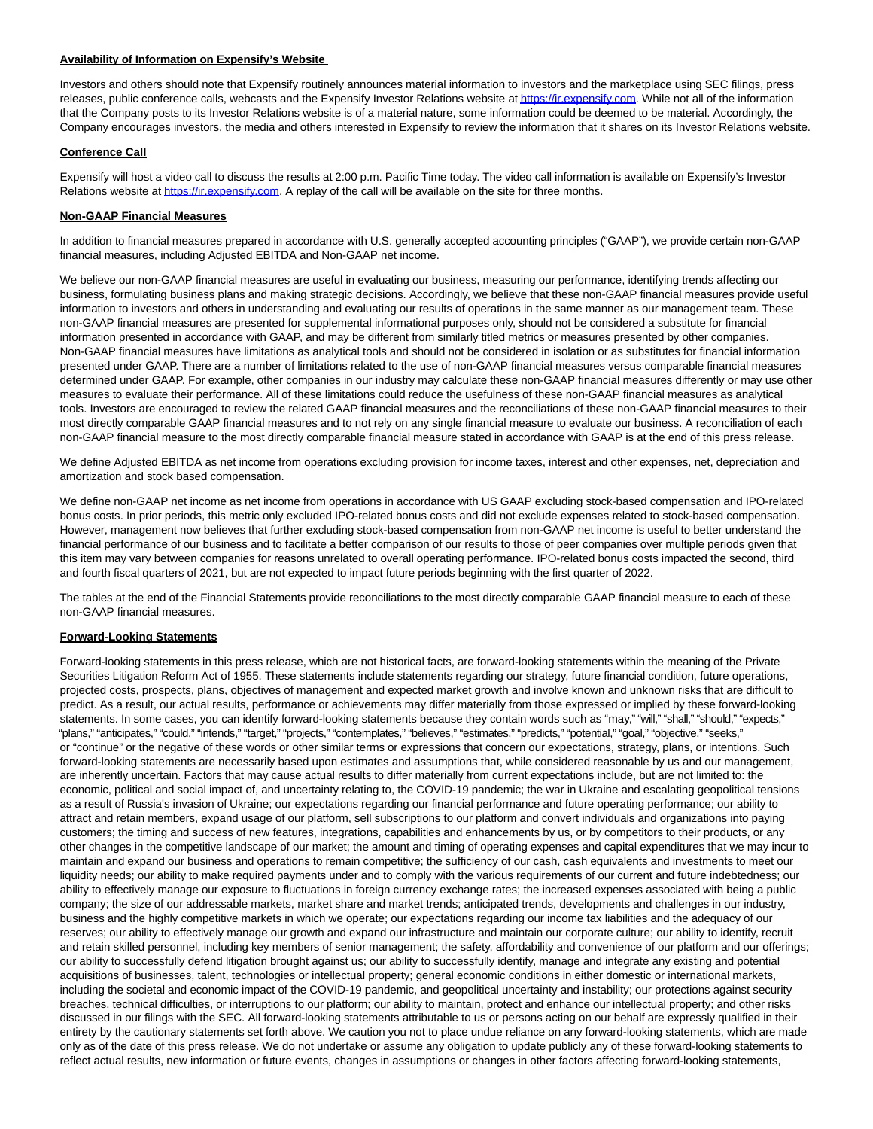#### **Availability of Information on Expensify's Website**

Investors and others should note that Expensify routinely announces material information to investors and the marketplace using SEC filings, press releases, public conference calls, webcasts and the Expensify Investor Relations website a[t https://ir.expensify.com.](https://cts.businesswire.com/ct/CT?id=smartlink&url=https%3A%2F%2Fir.expensify.com&esheet=52717076&newsitemid=20220512005387&lan=en-US&anchor=https%3A%2F%2Fir.expensify.com&index=1&md5=e0ec989894a33e3432e7cfdc0ee50896) While not all of the information that the Company posts to its Investor Relations website is of a material nature, some information could be deemed to be material. Accordingly, the Company encourages investors, the media and others interested in Expensify to review the information that it shares on its Investor Relations website.

#### **Conference Call**

Expensify will host a video call to discuss the results at 2:00 p.m. Pacific Time today. The video call information is available on Expensify's Investor Relations website a[t https://ir.expensify.com.](https://cts.businesswire.com/ct/CT?id=smartlink&url=https%3A%2F%2Fir.expensify.com&esheet=52717076&newsitemid=20220512005387&lan=en-US&anchor=https%3A%2F%2Fir.expensify.com&index=2&md5=8a18f915fc46fda473f9f384bbcdd128) A replay of the call will be available on the site for three months.

#### **Non-GAAP Financial Measures**

In addition to financial measures prepared in accordance with U.S. generally accepted accounting principles ("GAAP"), we provide certain non-GAAP financial measures, including Adjusted EBITDA and Non-GAAP net income.

We believe our non-GAAP financial measures are useful in evaluating our business, measuring our performance, identifying trends affecting our business, formulating business plans and making strategic decisions. Accordingly, we believe that these non-GAAP financial measures provide useful information to investors and others in understanding and evaluating our results of operations in the same manner as our management team. These non-GAAP financial measures are presented for supplemental informational purposes only, should not be considered a substitute for financial information presented in accordance with GAAP, and may be different from similarly titled metrics or measures presented by other companies. Non-GAAP financial measures have limitations as analytical tools and should not be considered in isolation or as substitutes for financial information presented under GAAP. There are a number of limitations related to the use of non-GAAP financial measures versus comparable financial measures determined under GAAP. For example, other companies in our industry may calculate these non-GAAP financial measures differently or may use other measures to evaluate their performance. All of these limitations could reduce the usefulness of these non-GAAP financial measures as analytical tools. Investors are encouraged to review the related GAAP financial measures and the reconciliations of these non-GAAP financial measures to their most directly comparable GAAP financial measures and to not rely on any single financial measure to evaluate our business. A reconciliation of each non-GAAP financial measure to the most directly comparable financial measure stated in accordance with GAAP is at the end of this press release.

We define Adjusted EBITDA as net income from operations excluding provision for income taxes, interest and other expenses, net, depreciation and amortization and stock based compensation.

We define non-GAAP net income as net income from operations in accordance with US GAAP excluding stock-based compensation and IPO-related bonus costs. In prior periods, this metric only excluded IPO-related bonus costs and did not exclude expenses related to stock-based compensation. However, management now believes that further excluding stock-based compensation from non-GAAP net income is useful to better understand the financial performance of our business and to facilitate a better comparison of our results to those of peer companies over multiple periods given that this item may vary between companies for reasons unrelated to overall operating performance. IPO-related bonus costs impacted the second, third and fourth fiscal quarters of 2021, but are not expected to impact future periods beginning with the first quarter of 2022.

The tables at the end of the Financial Statements provide reconciliations to the most directly comparable GAAP financial measure to each of these non-GAAP financial measures.

#### **Forward-Looking Statements**

Forward-looking statements in this press release, which are not historical facts, are forward-looking statements within the meaning of the Private Securities Litigation Reform Act of 1955. These statements include statements regarding our strategy, future financial condition, future operations, projected costs, prospects, plans, objectives of management and expected market growth and involve known and unknown risks that are difficult to predict. As a result, our actual results, performance or achievements may differ materially from those expressed or implied by these forward-looking statements. In some cases, you can identify forward-looking statements because they contain words such as "may," "will," "shall," "should," "expects," "plans," "anticipates," "could," "intends," "target," "projects," "contemplates," "believes," "estimates," "predicts," "potential," "goal," "objective," "seeks," or "continue" or the negative of these words or other similar terms or expressions that concern our expectations, strategy, plans, or intentions. Such forward-looking statements are necessarily based upon estimates and assumptions that, while considered reasonable by us and our management, are inherently uncertain. Factors that may cause actual results to differ materially from current expectations include, but are not limited to: the economic, political and social impact of, and uncertainty relating to, the COVID-19 pandemic; the war in Ukraine and escalating geopolitical tensions as a result of Russia's invasion of Ukraine; our expectations regarding our financial performance and future operating performance; our ability to attract and retain members, expand usage of our platform, sell subscriptions to our platform and convert individuals and organizations into paying customers; the timing and success of new features, integrations, capabilities and enhancements by us, or by competitors to their products, or any other changes in the competitive landscape of our market; the amount and timing of operating expenses and capital expenditures that we may incur to maintain and expand our business and operations to remain competitive; the sufficiency of our cash, cash equivalents and investments to meet our liquidity needs; our ability to make required payments under and to comply with the various requirements of our current and future indebtedness; our ability to effectively manage our exposure to fluctuations in foreign currency exchange rates; the increased expenses associated with being a public company; the size of our addressable markets, market share and market trends; anticipated trends, developments and challenges in our industry, business and the highly competitive markets in which we operate; our expectations regarding our income tax liabilities and the adequacy of our reserves; our ability to effectively manage our growth and expand our infrastructure and maintain our corporate culture; our ability to identify, recruit and retain skilled personnel, including key members of senior management; the safety, affordability and convenience of our platform and our offerings; our ability to successfully defend litigation brought against us; our ability to successfully identify, manage and integrate any existing and potential acquisitions of businesses, talent, technologies or intellectual property; general economic conditions in either domestic or international markets, including the societal and economic impact of the COVID-19 pandemic, and geopolitical uncertainty and instability; our protections against security breaches, technical difficulties, or interruptions to our platform; our ability to maintain, protect and enhance our intellectual property; and other risks discussed in our filings with the SEC. All forward-looking statements attributable to us or persons acting on our behalf are expressly qualified in their entirety by the cautionary statements set forth above. We caution you not to place undue reliance on any forward-looking statements, which are made only as of the date of this press release. We do not undertake or assume any obligation to update publicly any of these forward-looking statements to reflect actual results, new information or future events, changes in assumptions or changes in other factors affecting forward-looking statements,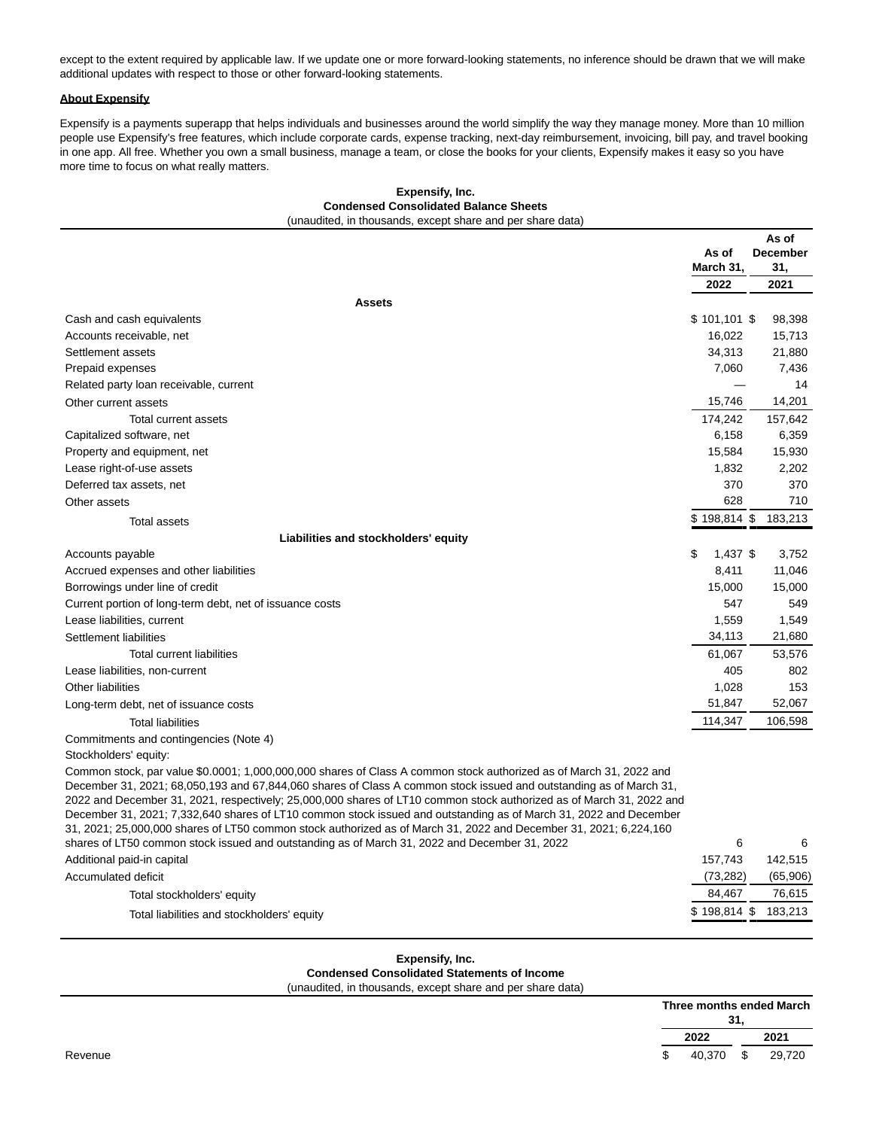except to the extent required by applicable law. If we update one or more forward-looking statements, no inference should be drawn that we will make additional updates with respect to those or other forward-looking statements.

### **About Expensify**

Expensify is a payments superapp that helps individuals and businesses around the world simplify the way they manage money. More than 10 million people use Expensify's free features, which include corporate cards, expense tracking, next-day reimbursement, invoicing, bill pay, and travel booking in one app. All free. Whether you own a small business, manage a team, or close the books for your clients, Expensify makes it easy so you have more time to focus on what really matters.

#### **Expensify, Inc. Condensed Consolidated Balance Sheets** (unaudited, in thousands, except share and per share data)

|                                                                                                                                                                                                                                                                                                                                                                  | As of            | As of<br><b>December</b> |
|------------------------------------------------------------------------------------------------------------------------------------------------------------------------------------------------------------------------------------------------------------------------------------------------------------------------------------------------------------------|------------------|--------------------------|
|                                                                                                                                                                                                                                                                                                                                                                  | March 31,        | 31,                      |
|                                                                                                                                                                                                                                                                                                                                                                  | 2022             | 2021                     |
| <b>Assets</b>                                                                                                                                                                                                                                                                                                                                                    |                  |                          |
| Cash and cash equivalents                                                                                                                                                                                                                                                                                                                                        | $$101,101$ \$    | 98,398                   |
| Accounts receivable, net                                                                                                                                                                                                                                                                                                                                         | 16,022           | 15,713                   |
| Settlement assets                                                                                                                                                                                                                                                                                                                                                | 34,313           | 21,880                   |
| Prepaid expenses                                                                                                                                                                                                                                                                                                                                                 | 7,060            | 7,436                    |
| Related party loan receivable, current                                                                                                                                                                                                                                                                                                                           |                  | 14                       |
| Other current assets                                                                                                                                                                                                                                                                                                                                             | 15,746           | 14,201                   |
| Total current assets                                                                                                                                                                                                                                                                                                                                             | 174,242          | 157,642                  |
| Capitalized software, net                                                                                                                                                                                                                                                                                                                                        | 6,158            | 6,359                    |
| Property and equipment, net                                                                                                                                                                                                                                                                                                                                      | 15,584           | 15,930                   |
| Lease right-of-use assets                                                                                                                                                                                                                                                                                                                                        | 1,832            | 2,202                    |
| Deferred tax assets, net                                                                                                                                                                                                                                                                                                                                         | 370              | 370                      |
| Other assets                                                                                                                                                                                                                                                                                                                                                     | 628              | 710                      |
| <b>Total assets</b>                                                                                                                                                                                                                                                                                                                                              | \$198,814\$      | 183,213                  |
| Liabilities and stockholders' equity                                                                                                                                                                                                                                                                                                                             |                  |                          |
| Accounts payable                                                                                                                                                                                                                                                                                                                                                 | \$<br>$1,437$ \$ | 3,752                    |
| Accrued expenses and other liabilities                                                                                                                                                                                                                                                                                                                           | 8,411            | 11,046                   |
| Borrowings under line of credit                                                                                                                                                                                                                                                                                                                                  | 15.000           | 15,000                   |
| Current portion of long-term debt, net of issuance costs                                                                                                                                                                                                                                                                                                         | 547              | 549                      |
| Lease liabilities, current                                                                                                                                                                                                                                                                                                                                       | 1,559            | 1,549                    |
| Settlement liabilities                                                                                                                                                                                                                                                                                                                                           | 34,113           | 21,680                   |
| Total current liabilities                                                                                                                                                                                                                                                                                                                                        | 61,067           | 53,576                   |
| Lease liabilities, non-current                                                                                                                                                                                                                                                                                                                                   | 405              | 802                      |
| Other liabilities                                                                                                                                                                                                                                                                                                                                                | 1,028            | 153                      |
| Long-term debt, net of issuance costs                                                                                                                                                                                                                                                                                                                            | 51,847           | 52,067                   |
| <b>Total liabilities</b>                                                                                                                                                                                                                                                                                                                                         | 114,347          | 106,598                  |
| Commitments and contingencies (Note 4)                                                                                                                                                                                                                                                                                                                           |                  |                          |
| Stockholders' equity:                                                                                                                                                                                                                                                                                                                                            |                  |                          |
| Common stock, par value \$0.0001; 1,000,000,000 shares of Class A common stock authorized as of March 31, 2022 and<br>December 31, 2021; 68,050,193 and 67,844,060 shares of Class A common stock issued and outstanding as of March 31,<br>2022 and December 31, 2021, respectively; 25,000,000 shares of LT10 common stock authorized as of March 31, 2022 and |                  |                          |
| December 31, 2021; 7,332,640 shares of LT10 common stock issued and outstanding as of March 31, 2022 and December<br>31, 2021; 25,000,000 shares of LT50 common stock authorized as of March 31, 2022 and December 31, 2021; 6,224,160                                                                                                                           |                  |                          |
| shares of LT50 common stock issued and outstanding as of March 31, 2022 and December 31, 2022                                                                                                                                                                                                                                                                    | 6                | 6                        |
| Additional paid-in capital                                                                                                                                                                                                                                                                                                                                       | 157,743          | 142,515                  |
| Accumulated deficit                                                                                                                                                                                                                                                                                                                                              |                  |                          |
|                                                                                                                                                                                                                                                                                                                                                                  | (73, 282)        | (65,906)                 |

Total liabilities and stockholders' equity and the stockholders' equity and the stockholders' equity and the stockholders' equity and the stockholders' equity and the stockholders' equity and the stockholders' equity and t

### **Expensify, Inc. Condensed Consolidated Statements of Income** (unaudited, in thousands, except share and per share data)

**Three months ended March 31, 2022 2021** Revenue \$ 40,370 \$ 29,720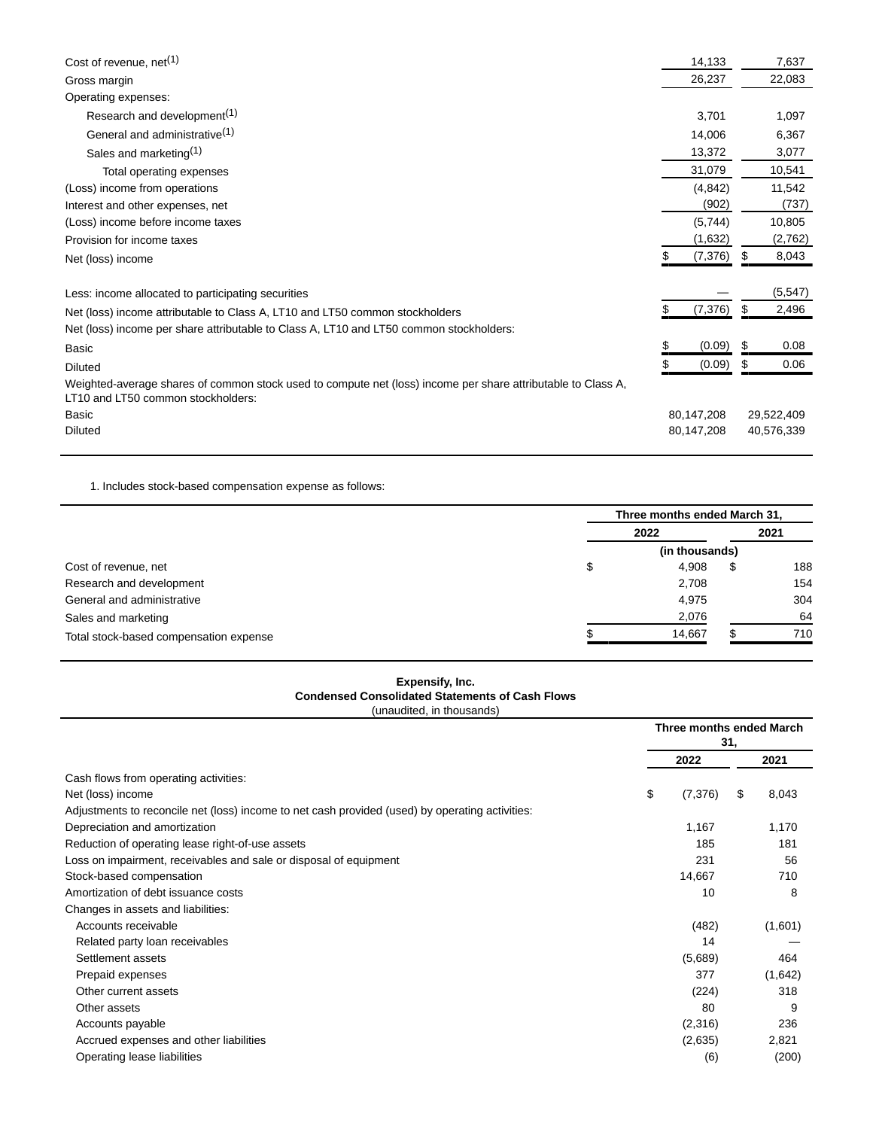| Cost of revenue, $net(1)$                                                                                                                          | 14,133     | 7,637       |
|----------------------------------------------------------------------------------------------------------------------------------------------------|------------|-------------|
| Gross margin                                                                                                                                       | 26,237     | 22,083      |
| Operating expenses:                                                                                                                                |            |             |
| Research and development <sup>(1)</sup>                                                                                                            | 3,701      | 1,097       |
| General and administrative <sup>(1)</sup>                                                                                                          | 14,006     | 6,367       |
| Sales and marketing <sup>(1)</sup>                                                                                                                 | 13,372     | 3,077       |
| Total operating expenses                                                                                                                           | 31,079     | 10,541      |
| (Loss) income from operations                                                                                                                      | (4, 842)   | 11,542      |
| Interest and other expenses, net                                                                                                                   | (902)      | (737)       |
| (Loss) income before income taxes                                                                                                                  | (5,744)    | 10,805      |
| Provision for income taxes                                                                                                                         | (1,632)    | (2,762)     |
| Net (loss) income                                                                                                                                  | (7, 376)   | S<br>8,043  |
| Less: income allocated to participating securities                                                                                                 |            | (5, 547)    |
| Net (loss) income attributable to Class A, LT10 and LT50 common stockholders                                                                       | (7, 376)   | \$<br>2,496 |
| Net (loss) income per share attributable to Class A, LT10 and LT50 common stockholders:                                                            |            |             |
| Basic                                                                                                                                              | (0.09)     | \$<br>0.08  |
| <b>Diluted</b>                                                                                                                                     | (0.09)     | \$<br>0.06  |
| Weighted-average shares of common stock used to compute net (loss) income per share attributable to Class A,<br>LT10 and LT50 common stockholders: |            |             |
| Basic                                                                                                                                              | 80,147,208 | 29,522,409  |
| <b>Diluted</b>                                                                                                                                     | 80,147,208 | 40,576,339  |

1. Includes stock-based compensation expense as follows:

|                                        | Three months ended March 31, |  |     |  |
|----------------------------------------|------------------------------|--|-----|--|
|                                        | 2022<br>2021                 |  |     |  |
|                                        | (in thousands)               |  |     |  |
| Cost of revenue, net                   | \$<br>4.908                  |  | 188 |  |
| Research and development               | 2.708                        |  | 154 |  |
| General and administrative             | 4.975                        |  | 304 |  |
| Sales and marketing                    | 2,076                        |  |     |  |
| Total stock-based compensation expense | 14.667                       |  | 710 |  |

| Expensify, Inc.                                 |  |                           |  |  |
|-------------------------------------------------|--|---------------------------|--|--|
| Condensed Consolidated Statements of Cash Flows |  |                           |  |  |
|                                                 |  | (unaudited, in thousands) |  |  |

|                                                                                                 | Three months ended March<br>31, |          |    |         |
|-------------------------------------------------------------------------------------------------|---------------------------------|----------|----|---------|
|                                                                                                 |                                 | 2022     |    | 2021    |
| Cash flows from operating activities:                                                           |                                 |          |    |         |
| Net (loss) income                                                                               | \$                              | (7, 376) | \$ | 8,043   |
| Adjustments to reconcile net (loss) income to net cash provided (used) by operating activities: |                                 |          |    |         |
| Depreciation and amortization                                                                   |                                 | 1,167    |    | 1,170   |
| Reduction of operating lease right-of-use assets                                                |                                 | 185      |    | 181     |
| Loss on impairment, receivables and sale or disposal of equipment                               |                                 | 231      |    | 56      |
| Stock-based compensation                                                                        |                                 | 14,667   |    | 710     |
| Amortization of debt issuance costs                                                             |                                 | 10       |    | 8       |
| Changes in assets and liabilities:                                                              |                                 |          |    |         |
| Accounts receivable                                                                             |                                 | (482)    |    | (1,601) |
| Related party loan receivables                                                                  |                                 | 14       |    |         |
| Settlement assets                                                                               |                                 | (5,689)  |    | 464     |
| Prepaid expenses                                                                                |                                 | 377      |    | (1,642) |
| Other current assets                                                                            |                                 | (224)    |    | 318     |
| Other assets                                                                                    |                                 | 80       |    | 9       |
| Accounts payable                                                                                |                                 | (2,316)  |    | 236     |
| Accrued expenses and other liabilities                                                          |                                 | (2,635)  |    | 2,821   |
| Operating lease liabilities                                                                     |                                 | (6)      |    | (200)   |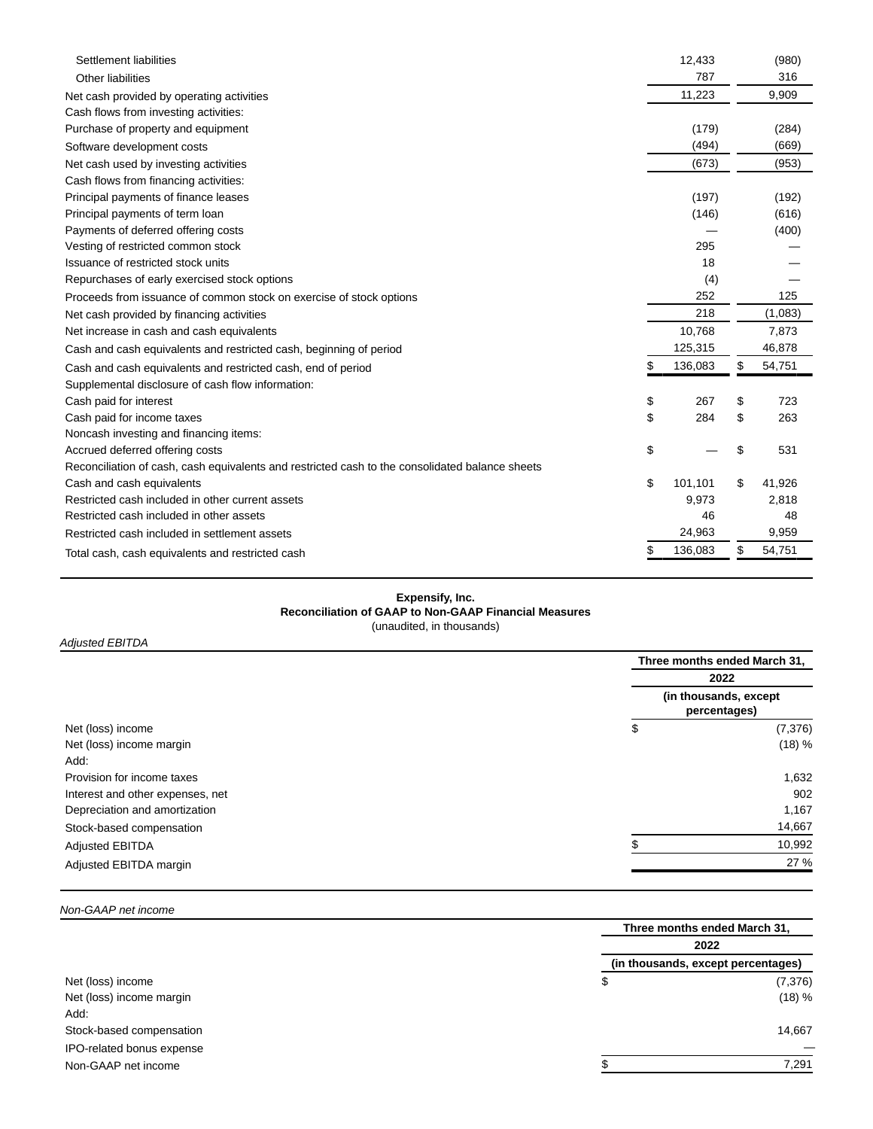| Settlement liabilities                                                                          | 12,433        | (980)        |
|-------------------------------------------------------------------------------------------------|---------------|--------------|
| Other liabilities                                                                               | 787           | 316          |
| Net cash provided by operating activities                                                       | 11,223        | 9,909        |
| Cash flows from investing activities:                                                           |               |              |
| Purchase of property and equipment                                                              | (179)         | (284)        |
| Software development costs                                                                      | (494)         | (669)        |
| Net cash used by investing activities                                                           | (673)         | (953)        |
| Cash flows from financing activities:                                                           |               |              |
| Principal payments of finance leases                                                            | (197)         | (192)        |
| Principal payments of term loan                                                                 | (146)         | (616)        |
| Payments of deferred offering costs                                                             |               | (400)        |
| Vesting of restricted common stock                                                              | 295           |              |
| Issuance of restricted stock units                                                              | 18            |              |
| Repurchases of early exercised stock options                                                    | (4)           |              |
| Proceeds from issuance of common stock on exercise of stock options                             | 252           | 125          |
| Net cash provided by financing activities                                                       | 218           | (1,083)      |
| Net increase in cash and cash equivalents                                                       | 10,768        | 7,873        |
| Cash and cash equivalents and restricted cash, beginning of period                              | 125,315       | 46,878       |
| Cash and cash equivalents and restricted cash, end of period                                    | \$<br>136,083 | \$<br>54,751 |
| Supplemental disclosure of cash flow information:                                               |               |              |
| Cash paid for interest                                                                          | \$<br>267     | \$<br>723    |
| Cash paid for income taxes                                                                      | \$<br>284     | \$<br>263    |
| Noncash investing and financing items:                                                          |               |              |
| Accrued deferred offering costs                                                                 | \$            | \$<br>531    |
| Reconciliation of cash, cash equivalents and restricted cash to the consolidated balance sheets |               |              |
| Cash and cash equivalents                                                                       | \$<br>101,101 | \$<br>41,926 |
| Restricted cash included in other current assets                                                | 9,973         | 2,818        |
| Restricted cash included in other assets                                                        | 46            | 48           |
| Restricted cash included in settlement assets                                                   | 24,963        | 9,959        |
| Total cash, cash equivalents and restricted cash                                                | \$<br>136,083 | \$<br>54,751 |

## **Expensify, Inc. Reconciliation of GAAP to Non-GAAP Financial Measures**

(unaudited, in thousands)

| <b>Adjusted EBITDA</b>           |                                       |                              |  |
|----------------------------------|---------------------------------------|------------------------------|--|
|                                  |                                       | Three months ended March 31, |  |
|                                  |                                       | 2022                         |  |
|                                  | (in thousands, except<br>percentages) |                              |  |
| Net (loss) income                | \$                                    | (7, 376)                     |  |
| Net (loss) income margin         |                                       | (18) %                       |  |
| Add:                             |                                       |                              |  |
| Provision for income taxes       |                                       | 1,632                        |  |
| Interest and other expenses, net |                                       | 902                          |  |
| Depreciation and amortization    |                                       | 1,167                        |  |
| Stock-based compensation         |                                       | 14,667                       |  |
| <b>Adjusted EBITDA</b>           |                                       | 10,992                       |  |
| Adjusted EBITDA margin           |                                       | 27 %                         |  |

Non-GAAP net income

|                                  |    | Three months ended March 31,<br>2022 |  |  |
|----------------------------------|----|--------------------------------------|--|--|
|                                  |    |                                      |  |  |
|                                  |    | (in thousands, except percentages)   |  |  |
| Net (loss) income                | \$ | (7, 376)                             |  |  |
| Net (loss) income margin         |    | (18) %                               |  |  |
| Add:                             |    |                                      |  |  |
| Stock-based compensation         |    | 14,667                               |  |  |
| <b>IPO-related bonus expense</b> |    |                                      |  |  |
| Non-GAAP net income              |    | 7,291                                |  |  |